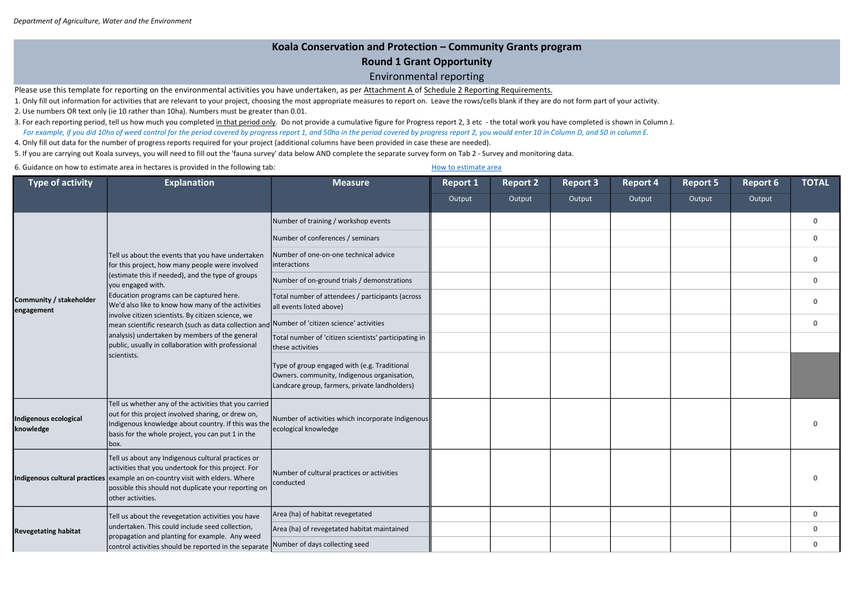| t 4 | <b>Report 5</b> | Report 6 | <b>TOTAL</b>   |
|-----|-----------------|----------|----------------|
| ut  | Output          | Output   |                |
|     |                 |          | $\mathbf 0$    |
|     |                 |          | $\overline{0}$ |
|     |                 |          | $\mathbf 0$    |
|     |                 |          | $\mathbf 0$    |
|     |                 |          | $\mathbf 0$    |
|     |                 |          | $\mathbf 0$    |
|     |                 |          |                |
|     |                 |          |                |
|     |                 |          | $\mathbf 0$    |
|     |                 |          | $\mathbf 0$    |
|     |                 |          | $\mathbf 0$    |
|     |                 |          | $\mathbf 0$    |
|     |                 |          | $\mathbf 0$    |

## Koala Conservation and Protection – Community Grants program Round 1 Grant Opportunity Environmental reporting

Please use this template for reporting on the environmental activities you have undertaken, as per Attachment A of Schedule 2 Reporting Requirements.

Report 1 Report 2 Report 3 Report 4 Report 5 Report 6 Output Output Output Output Output Output Number of training / workshop events Number of conferences / seminars Number of one-on-one technical advice interactions Number of on-ground trials / demonstrations 0 Total number of attendees / participants (across all events listed above) Number of 'citizen science' activities 0 Total number of 'citizen scientists' participating in these activities Type of group engaged with (e.g. Traditional Owners. community, Indigenous organisation, Landcare group, farmers, private landholders) Indigenous ecological knowledge Tell us whether any of the activities that you carried out for this project involved sharing, or drew on, Indigenous knowledge about country. If this was the basis for the whole project, you can put 1 in the box. Number of activities which incorporate Indigenous ecological knowledge Indigenous cultural practices example an on-country visit with elders. Where Tell us about any Indigenous cultural practices or activities that you undertook for this project. For possible this should not duplicate your reporting on other activities. Number of cultural practices or activities conducted Area (ha) of habitat revegetated Area (ha) of revegetated habitat maintained Number of days collecting seed Type of activity and the suplanation and the same Measure and Report 2 Report 2 Report 3 Report 4 Report 5 Report 6 TOTAL Community / stakeholder engagement Tell us about the events that you have undertaken for this project, how many people were involved (estimate this if needed), and the type of groups you engaged with. Education programs can be captured here. We'd also like to know how many of the activities involve citizen scientists. By citizen science, we mean scientific research (such as data collection and analysis) undertaken by members of the general public, usually in collaboration with professional scientists. Revegetating habitat Tell us about the revegetation activities you have undertaken. This could include seed collection, propagation and planting for example. Any weed control activities should be reported in the separate

- 1. Only fill out information for activities that are relevant to your project, choosing the most appropriate measures to report on. Leave the rows/cells blank if they are do not form part of your activity. 2. Use numbers OR text only (ie 10 rather than 10ha). Numbers must be greater than 0.01.
- 3. For each reporting period, tell us how much you completed in that period only. Do not provide a cumulative figure for Progress report 2, 3 etc the total work you have completed is shown in Column J. For example, if you did 10ha of weed control for the period covered by progress report 1, and 50ha in the period covered by progress report 2, you would enter 10 in Column D, and 50 in column E.
- 4. Only fill out data for the number of progress reports required for your project (additional columns have been provided in case these are needed).

5. If you are carrying out Koala surveys, you will need to fill out the 'fauna survey' data below AND complete the separate survey form on Tab 2 - Survey and monitoring data.

6. Guidance on how to estimate area in hectares is provided in the following tab: How to estimate area how to estimate area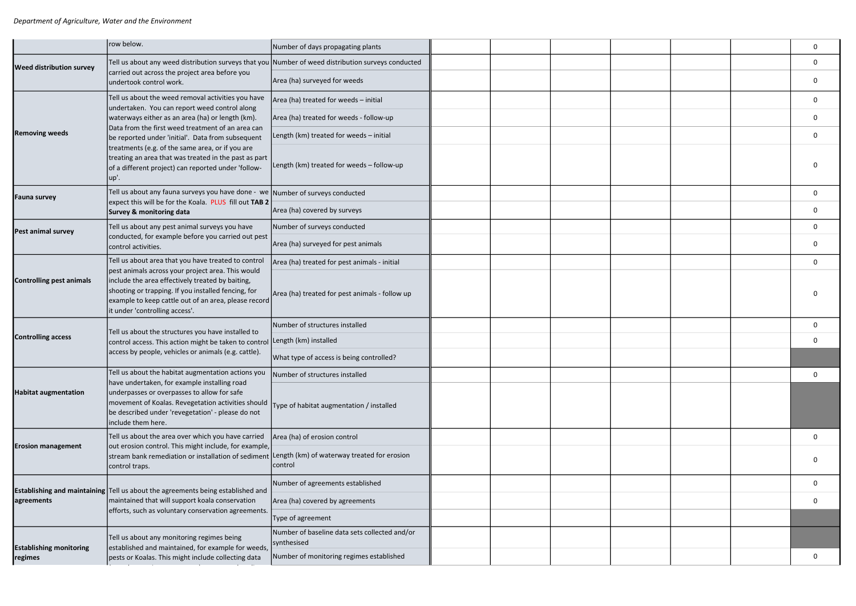|                                 | row below.                                                                                                                                                                                                                                             | Number of days propagating plants                            |  |  |  | 0            |
|---------------------------------|--------------------------------------------------------------------------------------------------------------------------------------------------------------------------------------------------------------------------------------------------------|--------------------------------------------------------------|--|--|--|--------------|
| <b>Weed distribution survey</b> | Tell us about any weed distribution surveys that you Number of weed distribution surveys conducted                                                                                                                                                     |                                                              |  |  |  | 0            |
|                                 | carried out across the project area before you<br>undertook control work.                                                                                                                                                                              | Area (ha) surveyed for weeds                                 |  |  |  | 0            |
|                                 | Tell us about the weed removal activities you have<br>undertaken. You can report weed control along                                                                                                                                                    | Area (ha) treated for weeds - initial                        |  |  |  | 0            |
|                                 | waterways either as an area (ha) or length (km).                                                                                                                                                                                                       | Area (ha) treated for weeds - follow-up                      |  |  |  | $\Omega$     |
| <b>Removing weeds</b>           | Data from the first weed treatment of an area can<br>be reported under 'initial'. Data from subsequent                                                                                                                                                 | Length (km) treated for weeds - initial                      |  |  |  | 0            |
|                                 | treatments (e.g. of the same area, or if you are<br>treating an area that was treated in the past as part<br>of a different project) can reported under 'follow-<br>lup'.                                                                              | Length (km) treated for weeds - follow-up                    |  |  |  |              |
| <b>Fauna survey</b>             | Tell us about any fauna surveys you have done - we Number of surveys conducted<br>expect this will be for the Koala. PLUS fill out TAB 2                                                                                                               |                                                              |  |  |  | 0            |
|                                 | Survey & monitoring data                                                                                                                                                                                                                               | Area (ha) covered by surveys                                 |  |  |  | 0            |
| Pest animal survey              | Tell us about any pest animal surveys you have                                                                                                                                                                                                         | Number of surveys conducted                                  |  |  |  | 0            |
|                                 | conducted, for example before you carried out pest<br>control activities.                                                                                                                                                                              | Area (ha) surveyed for pest animals                          |  |  |  | 0            |
|                                 | Tell us about area that you have treated to control                                                                                                                                                                                                    | Area (ha) treated for pest animals - initial                 |  |  |  | 0            |
| <b>Controlling pest animals</b> | pest animals across your project area. This would<br>include the area effectively treated by baiting,<br>shooting or trapping. If you installed fencing, for<br>example to keep cattle out of an area, please record<br>it under 'controlling access'. | Area (ha) treated for pest animals - follow up               |  |  |  |              |
|                                 | Tell us about the structures you have installed to                                                                                                                                                                                                     | Number of structures installed                               |  |  |  | $\mathbf{0}$ |
| <b>Controlling access</b>       | control access. This action might be taken to control                                                                                                                                                                                                  | Length (km) installed                                        |  |  |  | 0            |
|                                 | access by people, vehicles or animals (e.g. cattle).                                                                                                                                                                                                   | What type of access is being controlled?                     |  |  |  |              |
|                                 | Tell us about the habitat augmentation actions you<br>have undertaken, for example installing road                                                                                                                                                     | Number of structures installed                               |  |  |  | 0            |
| <b>Habitat augmentation</b>     | underpasses or overpasses to allow for safe<br>movement of Koalas. Revegetation activities should<br>be described under 'revegetation' - please do not<br>include them here.                                                                           | Type of habitat augmentation / installed                     |  |  |  |              |
|                                 | Tell us about the area over which you have carried                                                                                                                                                                                                     | Area (ha) of erosion control                                 |  |  |  | 0            |
| <b>Erosion management</b>       | out erosion control. This might include, for example,<br>stream bank remediation or installation of sediment<br>control traps.                                                                                                                         | Length (km) of waterway treated for erosion<br>control       |  |  |  | $\Omega$     |
|                                 | <b>Establishing and maintaining</b> $ T$ ell us about the agreements being established and                                                                                                                                                             | Number of agreements established                             |  |  |  | 0            |
| agreements                      | maintained that will support koala conservation                                                                                                                                                                                                        | Area (ha) covered by agreements                              |  |  |  | 0            |
|                                 | efforts, such as voluntary conservation agreements.                                                                                                                                                                                                    | Type of agreement                                            |  |  |  |              |
| <b>Establishing monitoring</b>  | Tell us about any monitoring regimes being<br>established and maintained, for example for weeds,                                                                                                                                                       | Number of baseline data sets collected and/or<br>synthesised |  |  |  |              |
| regimes                         | pests or Koalas. This might include collecting data                                                                                                                                                                                                    | Number of monitoring regimes established                     |  |  |  | 0            |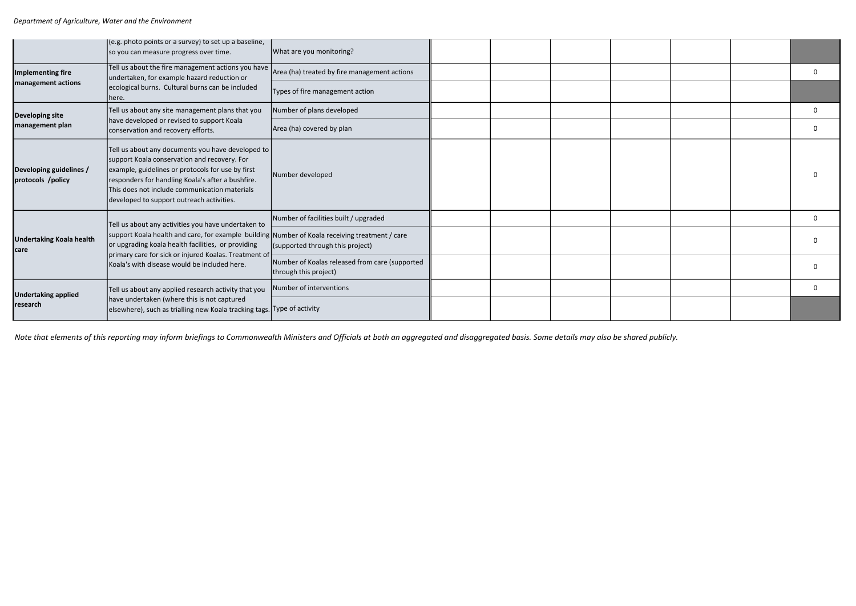Note that elements of this reporting may inform briefings to Commonwealth Ministers and Officials at both an aggregated and disaggregated basis. Some details may also be shared publicly.

|                                              | (e.g. photo points or a survey) to set up a baseline,<br>so you can measure progress over time.                                                                                                                                                                                                           | What are you monitoring?                                                |  |  |  |              |
|----------------------------------------------|-----------------------------------------------------------------------------------------------------------------------------------------------------------------------------------------------------------------------------------------------------------------------------------------------------------|-------------------------------------------------------------------------|--|--|--|--------------|
| Implementing fire                            | Tell us about the fire management actions you have $\vert_{\text{Area (ha) treated by fire management actions}}$<br>undertaken, for example hazard reduction or                                                                                                                                           |                                                                         |  |  |  | 0            |
| management actions                           | ecological burns. Cultural burns can be included<br>here.                                                                                                                                                                                                                                                 | Types of fire management action                                         |  |  |  |              |
| <b>Developing site</b>                       | Tell us about any site management plans that you                                                                                                                                                                                                                                                          | Number of plans developed                                               |  |  |  | 0            |
| management plan                              | have developed or revised to support Koala<br>conservation and recovery efforts.                                                                                                                                                                                                                          | Area (ha) covered by plan                                               |  |  |  | 0            |
| Developing guidelines /<br>protocols /policy | Tell us about any documents you have developed to<br>support Koala conservation and recovery. For<br>example, guidelines or protocols for use by first<br>responders for handling Koala's after a bushfire.<br>This does not include communication materials<br>developed to support outreach activities. | Number developed                                                        |  |  |  | $\Omega$     |
|                                              | Tell us about any activities you have undertaken to                                                                                                                                                                                                                                                       | Number of facilities built / upgraded                                   |  |  |  | 0            |
| <b>Undertaking Koala health</b><br>care      | support Koala health and care, for example building Number of Koala receiving treatment / care<br>or upgrading koala health facilities, or providing<br>primary care for sick or injured Koalas. Treatment of<br>Koala's with disease would be included here.                                             | (supported through this project)                                        |  |  |  | <sup>0</sup> |
|                                              |                                                                                                                                                                                                                                                                                                           | Number of Koalas released from care (supported<br>through this project) |  |  |  | $\Omega$     |
| <b>Undertaking applied</b>                   | Tell us about any applied research activity that you                                                                                                                                                                                                                                                      | Number of interventions                                                 |  |  |  | 0            |
| research                                     | have undertaken (where this is not captured<br>elsewhere), such as trialling new Koala tracking tags. Type of activity                                                                                                                                                                                    |                                                                         |  |  |  |              |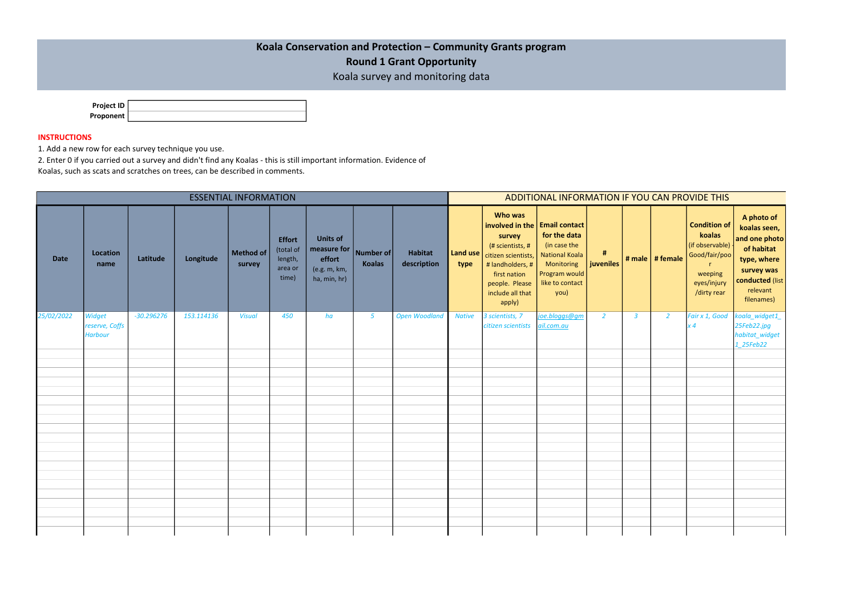| <b>Project ID</b> |  |
|-------------------|--|
| Proponent         |  |

| <b>ESSENTIAL INFORMATION</b> |                                            |              |            |                            |                                                           |                                                                          | ADDITIONAL INFORMATION IF YOU CAN PROVIDE THIS |                               |               |                                                                                                                                                                                                       |                                                                                                                 |                |                |                   |                                                                                                                            |                                                                                                                                     |
|------------------------------|--------------------------------------------|--------------|------------|----------------------------|-----------------------------------------------------------|--------------------------------------------------------------------------|------------------------------------------------|-------------------------------|---------------|-------------------------------------------------------------------------------------------------------------------------------------------------------------------------------------------------------|-----------------------------------------------------------------------------------------------------------------|----------------|----------------|-------------------|----------------------------------------------------------------------------------------------------------------------------|-------------------------------------------------------------------------------------------------------------------------------------|
| <b>Date</b>                  | Location<br>name                           | Latitude     | Longitude  | <b>Method of</b><br>survey | <b>Effort</b><br>(total of<br>length,<br>area or<br>time) | <b>Units of</b><br>measure for<br>effort<br>(e.g. m, km,<br>ha, min, hr) | Number of<br><b>Koalas</b>                     | <b>Habitat</b><br>description | type          | <b>Who was</b><br>involved in the   Email contact<br>survey<br>(# scientists, #<br>Land use   citizen scientists,<br># landholders, #<br>first nation<br>people. Please<br>include all that<br>apply) | for the data<br>(in case the<br><b>National Koala</b><br>Monitoring<br>Program would<br>like to contact<br>you) | #<br>juveniles |                | # male   # female | <b>Condition of</b><br>koalas<br>(if observable)<br>Good/fair/poo<br>$\mathsf{r}$<br>weeping<br>eyes/injury<br>/dirty rear | A photo of<br>koalas seen,<br>and one photo<br>of habitat<br>type, where<br>survey was<br>conducted (list<br>relevant<br>filenames) |
| 25/02/2022                   | Widget<br>reserve, Coffs<br><b>Harbour</b> | $-30.296276$ | 153.114136 | <b>Visual</b>              | 450                                                       | ha                                                                       | $\sqrt{5}$                                     | <b>Open Woodland</b>          | <b>Native</b> | 3 scientists, 7<br>citizen scientists                                                                                                                                                                 | joe.bloggs@gm<br>ail.com.au                                                                                     | $\overline{2}$ | $\overline{3}$ | $\overline{2}$    | Fair x 1, Good<br>x 4                                                                                                      | koala_widget1_<br>25Feb22.jpg<br>habitat_widget<br>1_25Feb22                                                                        |
|                              |                                            |              |            |                            |                                                           |                                                                          |                                                |                               |               |                                                                                                                                                                                                       |                                                                                                                 |                |                |                   |                                                                                                                            |                                                                                                                                     |
|                              |                                            |              |            |                            |                                                           |                                                                          |                                                |                               |               |                                                                                                                                                                                                       |                                                                                                                 |                |                |                   |                                                                                                                            |                                                                                                                                     |
|                              |                                            |              |            |                            |                                                           |                                                                          |                                                |                               |               |                                                                                                                                                                                                       |                                                                                                                 |                |                |                   |                                                                                                                            |                                                                                                                                     |
|                              |                                            |              |            |                            |                                                           |                                                                          |                                                |                               |               |                                                                                                                                                                                                       |                                                                                                                 |                |                |                   |                                                                                                                            |                                                                                                                                     |
|                              |                                            |              |            |                            |                                                           |                                                                          |                                                |                               |               |                                                                                                                                                                                                       |                                                                                                                 |                |                |                   |                                                                                                                            |                                                                                                                                     |
|                              |                                            |              |            |                            |                                                           |                                                                          |                                                |                               |               |                                                                                                                                                                                                       |                                                                                                                 |                |                |                   |                                                                                                                            |                                                                                                                                     |
|                              |                                            |              |            |                            |                                                           |                                                                          |                                                |                               |               |                                                                                                                                                                                                       |                                                                                                                 |                |                |                   |                                                                                                                            |                                                                                                                                     |
|                              |                                            |              |            |                            |                                                           |                                                                          |                                                |                               |               |                                                                                                                                                                                                       |                                                                                                                 |                |                |                   |                                                                                                                            |                                                                                                                                     |
|                              |                                            |              |            |                            |                                                           |                                                                          |                                                |                               |               |                                                                                                                                                                                                       |                                                                                                                 |                |                |                   |                                                                                                                            |                                                                                                                                     |
|                              |                                            |              |            |                            |                                                           |                                                                          |                                                |                               |               |                                                                                                                                                                                                       |                                                                                                                 |                |                |                   |                                                                                                                            |                                                                                                                                     |
|                              |                                            |              |            |                            |                                                           |                                                                          |                                                |                               |               |                                                                                                                                                                                                       |                                                                                                                 |                |                |                   |                                                                                                                            |                                                                                                                                     |
|                              |                                            |              |            |                            |                                                           |                                                                          |                                                |                               |               |                                                                                                                                                                                                       |                                                                                                                 |                |                |                   |                                                                                                                            |                                                                                                                                     |
|                              |                                            |              |            |                            |                                                           |                                                                          |                                                |                               |               |                                                                                                                                                                                                       |                                                                                                                 |                |                |                   |                                                                                                                            |                                                                                                                                     |
|                              |                                            |              |            |                            |                                                           |                                                                          |                                                |                               |               |                                                                                                                                                                                                       |                                                                                                                 |                |                |                   |                                                                                                                            |                                                                                                                                     |
|                              |                                            |              |            |                            |                                                           |                                                                          |                                                |                               |               |                                                                                                                                                                                                       |                                                                                                                 |                |                |                   |                                                                                                                            |                                                                                                                                     |

## INSTRUCTIONS

1. Add a new row for each survey technique you use.

2. Enter 0 if you carried out a survey and didn't find any Koalas - this is still important information. Evidence of

Koalas, such as scats and scratches on trees, can be described in comments.

|  | Koala Conservation and Protection - Community Grants program |  |
|--|--------------------------------------------------------------|--|
|--|--------------------------------------------------------------|--|

## Round 1 Grant Opportunity

Koala survey and monitoring data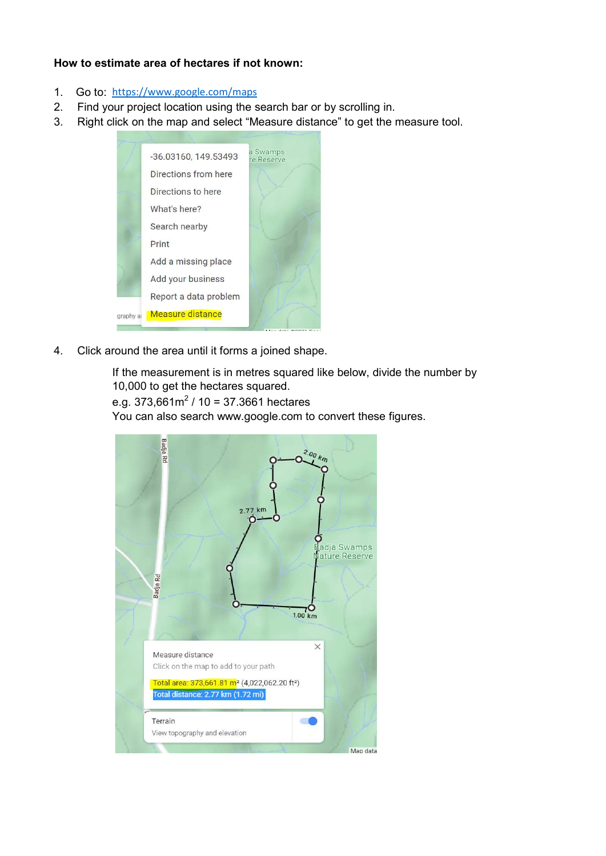## How to estimate area of hectares if not known:

- 1. Go to: https://www.google.com/maps
- 2. Find your project location using the search bar or by scrolling in.
- 3. Right click on the map and select "Measure distance" to get the measure tool.



4. Click around the area until it forms a joined shape.

If the measurement is in metres squared like below, divide the number by 10,000 to get the hectares squared.

```
e.g. 373,661m<sup>2</sup> / 10 = 37.3661 hectares
```
You can also search www.google.com to convert these figures.